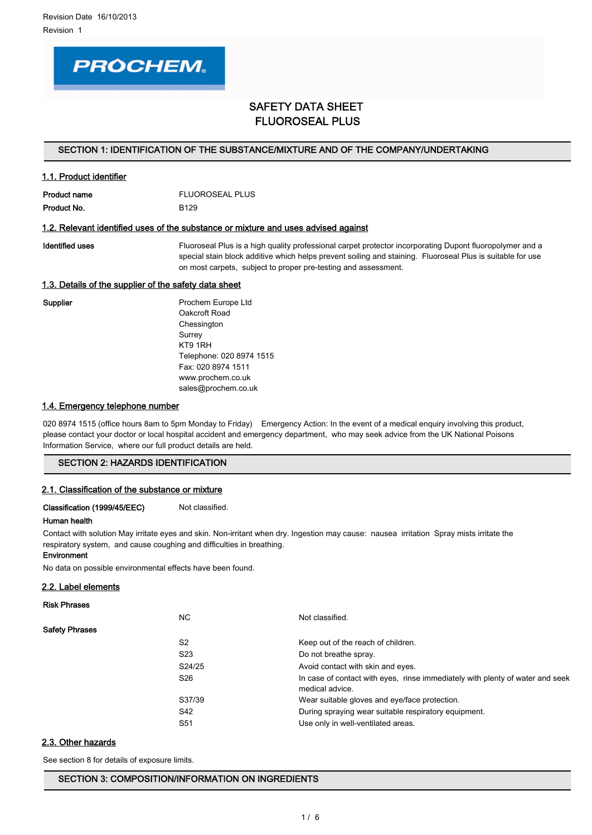

# SAFETY DATA SHEET FLUOROSEAL PLUS

#### SECTION 1: IDENTIFICATION OF THE SUBSTANCE/MIXTURE AND OF THE COMPANY/UNDERTAKING

## 1.1. Product identifier

Product name FLUOROSEAL PLUS Product No. 6129

#### 1.2. Relevant identified uses of the substance or mixture and uses advised against

Identified uses **Fluoroseal Plus is a high quality professional carpet protector incorporating Dupont fluoropolymer and a** special stain block additive which helps prevent soiling and staining. Fluoroseal Plus is suitable for use on most carpets, subject to proper pre-testing and assessment.

## 1.3. Details of the supplier of the safety data sheet

Supplier **Prochem Europe Ltd** Oakcroft Road Chessington Surrey KT9 1RH Telephone: 020 8974 1515 Fax: 020 8974 1511 www.prochem.co.uk sales@prochem.co.uk

## 1.4. Emergency telephone number

020 8974 1515 (office hours 8am to 5pm Monday to Friday) Emergency Action: In the event of a medical enquiry involving this product, please contact your doctor or local hospital accident and emergency department, who may seek advice from the UK National Poisons Information Service, where our full product details are held.

## SECTION 2: HAZARDS IDENTIFICATION

#### 2.1. Classification of the substance or mixture

#### Classification (1999/45/EEC) Not classified.

#### Human health

Environment

Contact with solution May irritate eyes and skin. Non-irritant when dry. Ingestion may cause: nausea irritation Spray mists irritate the respiratory system, and cause coughing and difficulties in breathing.

No data on possible environmental effects have been found.

## 2.2. Label elements

# Risk Phrases NC Not classified. Safety Phrases S2 Keep out of the reach of children. S23 Do not breathe spray. S24/25 Avoid contact with skin and eyes. S26 **In case of contact with eyes, rinse immediately with plenty of water and seek** medical advice. S37/39 Wear suitable gloves and eye/face protection. S42 During spraying wear suitable respiratory equipment. S51 Use only in well-ventilated areas.

2.3. Other hazards

See section 8 for details of exposure limits.

SECTION 3: COMPOSITION/INFORMATION ON INGREDIENTS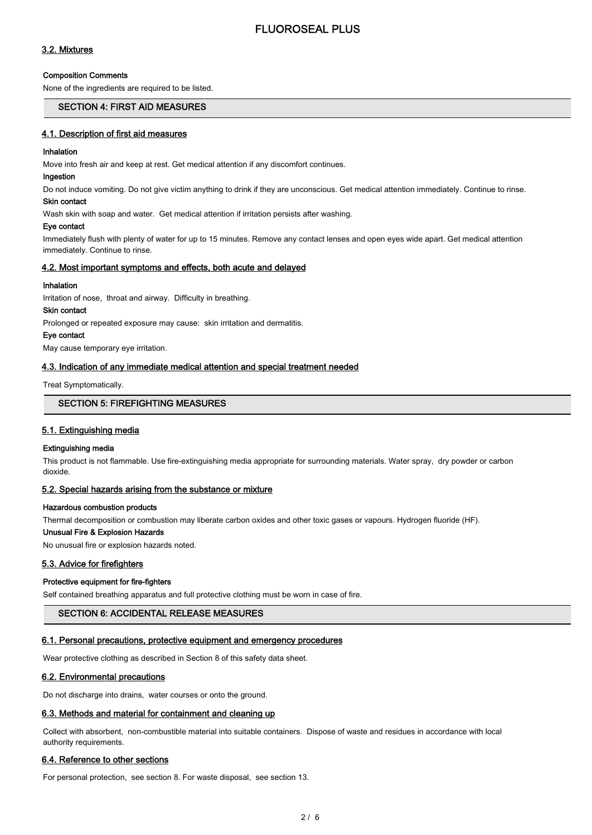## 3.2. Mixtures

#### Composition Comments

None of the ingredients are required to be listed.

## SECTION 4: FIRST AID MEASURES

#### 4.1. Description of first aid measures

#### Inhalation

Move into fresh air and keep at rest. Get medical attention if any discomfort continues.

## Ingestion

Do not induce vomiting. Do not give victim anything to drink if they are unconscious. Get medical attention immediately. Continue to rinse.

# Skin contact

Wash skin with soap and water. Get medical attention if irritation persists after washing.

#### Eye contact

Immediately flush with plenty of water for up to 15 minutes. Remove any contact lenses and open eyes wide apart. Get medical attention immediately. Continue to rinse.

#### 4.2. Most important symptoms and effects, both acute and delayed

#### Inhalation

Irritation of nose, throat and airway. Difficulty in breathing.

## Skin contact

Prolonged or repeated exposure may cause: skin irritation and dermatitis.

#### Eye contact

May cause temporary eye irritation.

#### 4.3. Indication of any immediate medical attention and special treatment needed

Treat Symptomatically.

## SECTION 5: FIREFIGHTING MEASURES

## 5.1. Extinguishing media

#### Extinguishing media

This product is not flammable. Use fire-extinguishing media appropriate for surrounding materials. Water spray, dry powder or carbon dioxide.

#### 5.2. Special hazards arising from the substance or mixture

#### Hazardous combustion products

Thermal decomposition or combustion may liberate carbon oxides and other toxic gases or vapours. Hydrogen fluoride (HF).

## Unusual Fire & Explosion Hazards

No unusual fire or explosion hazards noted.

#### 5.3. Advice for firefighters

#### Protective equipment for fire-fighters

Self contained breathing apparatus and full protective clothing must be worn in case of fire.

#### SECTION 6: ACCIDENTAL RELEASE MEASURES

#### 6.1. Personal precautions, protective equipment and emergency procedures

Wear protective clothing as described in Section 8 of this safety data sheet.

#### 6.2. Environmental precautions

Do not discharge into drains, water courses or onto the ground.

## 6.3. Methods and material for containment and cleaning up

Collect with absorbent, non-combustible material into suitable containers. Dispose of waste and residues in accordance with local authority requirements.

#### 6.4. Reference to other sections

For personal protection, see section 8. For waste disposal, see section 13.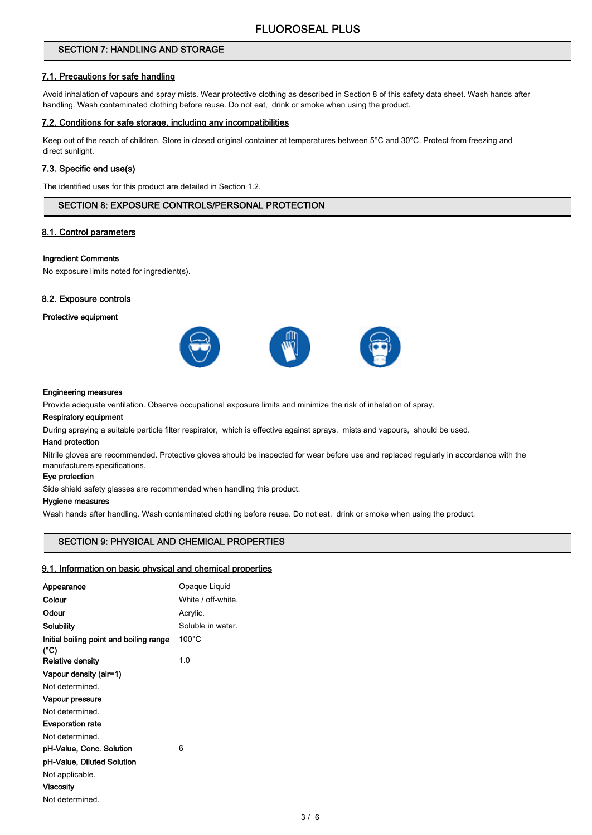## SECTION 7: HANDLING AND STORAGE

## 7.1. Precautions for safe handling

Avoid inhalation of vapours and spray mists. Wear protective clothing as described in Section 8 of this safety data sheet. Wash hands after handling. Wash contaminated clothing before reuse. Do not eat, drink or smoke when using the product.

#### 7.2. Conditions for safe storage, including any incompatibilities

Keep out of the reach of children. Store in closed original container at temperatures between 5°C and 30°C. Protect from freezing and direct sunlight.

#### 7.3. Specific end use(s)

The identified uses for this product are detailed in Section 1.2.

## SECTION 8: EXPOSURE CONTROLS/PERSONAL PROTECTION

## 8.1. Control parameters

#### Ingredient Comments

No exposure limits noted for ingredient(s).

## 8.2. Exposure controls

#### Protective equipment



#### Engineering measures

Provide adequate ventilation. Observe occupational exposure limits and minimize the risk of inhalation of spray.

#### Respiratory equipment

During spraying a suitable particle filter respirator, which is effective against sprays, mists and vapours, should be used.

#### Hand protection

Nitrile gloves are recommended. Protective gloves should be inspected for wear before use and replaced regularly in accordance with the manufacturers specifications.

## Eye protection

Side shield safety glasses are recommended when handling this product.

#### Hygiene measures

Wash hands after handling. Wash contaminated clothing before reuse. Do not eat, drink or smoke when using the product.

## SECTION 9: PHYSICAL AND CHEMICAL PROPERTIES

#### 9.1. Information on basic physical and chemical properties

| Appearance                                      | Opaque Liquid      |
|-------------------------------------------------|--------------------|
| Colour                                          | White / off-white. |
| Odour                                           | Acrylic.           |
| Solubility                                      | Soluble in water.  |
| Initial boiling point and boiling range<br>(°C) | $100^{\circ}$ C    |
| <b>Relative density</b>                         | 1.0                |
| Vapour density (air=1)                          |                    |
| Not determined                                  |                    |
| Vapour pressure                                 |                    |
| Not determined.                                 |                    |
| <b>Evaporation rate</b>                         |                    |
| Not determined.                                 |                    |
| pH-Value, Conc. Solution                        | 6                  |
| pH-Value, Diluted Solution                      |                    |
| Not applicable.                                 |                    |
| <b>Viscosity</b>                                |                    |
| Not determined.                                 |                    |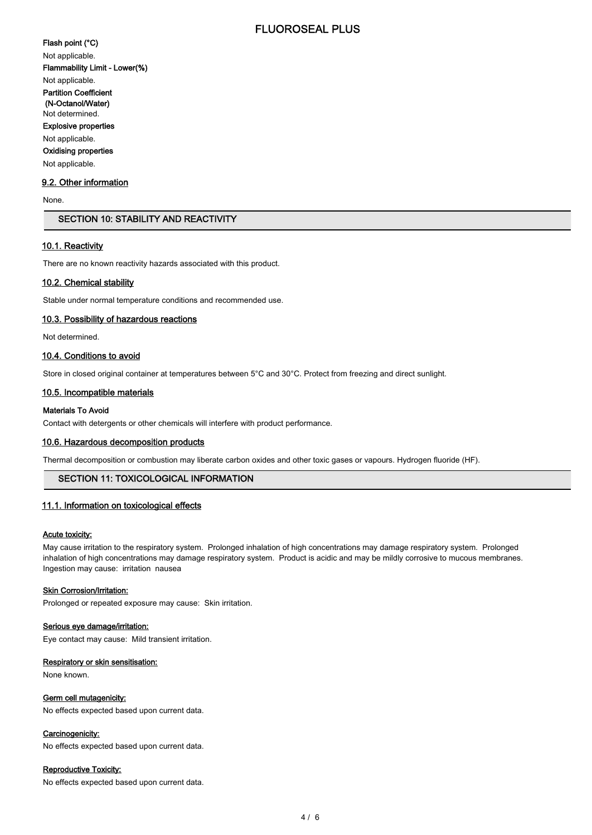# FLUOROSEAL PLUS

## Flash point (°C)

Not applicable.

Flammability Limit - Lower(%)

Not applicable.

Partition Coefficient

 (N-Octanol/Water) Not determined.

Explosive properties

#### Not applicable.

Oxidising properties

Not applicable.

## 9.2. Other information

None.

## SECTION 10: STABILITY AND REACTIVITY

## 10.1. Reactivity

There are no known reactivity hazards associated with this product.

#### 10.2. Chemical stability

Stable under normal temperature conditions and recommended use.

#### 10.3. Possibility of hazardous reactions

Not determined.

## 10.4. Conditions to avoid

Store in closed original container at temperatures between 5°C and 30°C. Protect from freezing and direct sunlight.

## 10.5. Incompatible materials

#### Materials To Avoid

Contact with detergents or other chemicals will interfere with product performance.

#### 10.6. Hazardous decomposition products

Thermal decomposition or combustion may liberate carbon oxides and other toxic gases or vapours. Hydrogen fluoride (HF).

## SECTION 11: TOXICOLOGICAL INFORMATION

#### 11.1. Information on toxicological effects

#### Acute toxicity:

May cause irritation to the respiratory system. Prolonged inhalation of high concentrations may damage respiratory system. Prolonged inhalation of high concentrations may damage respiratory system. Product is acidic and may be mildly corrosive to mucous membranes. Ingestion may cause: irritation nausea

#### **Skin Corrosion/Irritation:**

Prolonged or repeated exposure may cause: Skin irritation.

#### Serious eye damage/irritation:

Eye contact may cause: Mild transient irritation.

#### Respiratory or skin sensitisation:

None known.

#### Germ cell mutagenicity:

No effects expected based upon current data.

#### Carcinogenicity:

No effects expected based upon current data.

#### Reproductive Toxicity:

No effects expected based upon current data.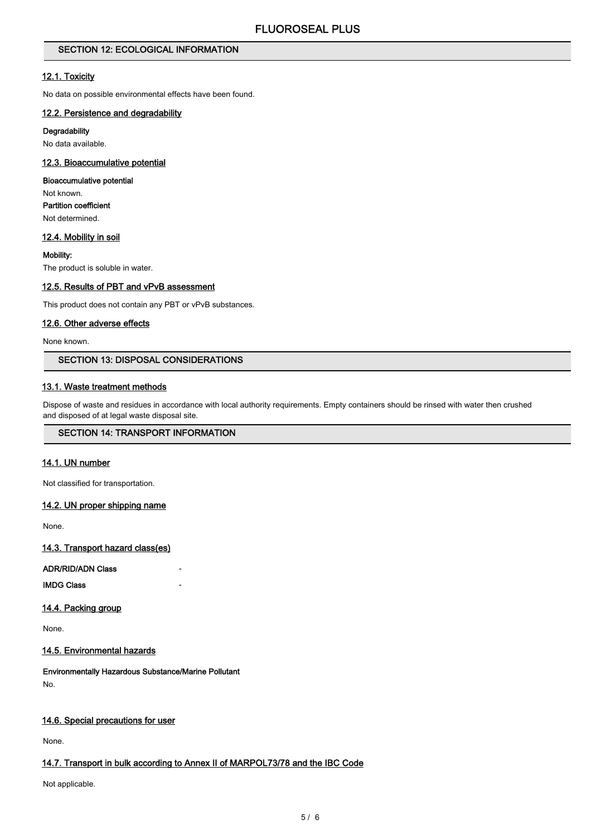## SECTION 12: ECOLOGICAL INFORMATION

## 12.1. Toxicity

No data on possible environmental effects have been found.

## 12.2. Persistence and degradability

#### **Degradability**

No data available.

## 12.3. Bioaccumulative potential

#### Bioaccumulative potential

Not known. Partition coefficient Not determined.

## 12.4. Mobility in soil

Mobility: The product is soluble in water.

## 12.5. Results of PBT and vPvB assessment

This product does not contain any PBT or vPvB substances.

## 12.6. Other adverse effects

None known.

## SECTION 13: DISPOSAL CONSIDERATIONS

## 13.1. Waste treatment methods

Dispose of waste and residues in accordance with local authority requirements. Empty containers should be rinsed with water then crushed and disposed of at legal waste disposal site.

## SECTION 14: TRANSPORT INFORMATION

## 14.1. UN number

Not classified for transportation.

#### 14.2. UN proper shipping name

None.

14.3. Transport hazard class(es)

ADR/RID/ADN Class -

**IMDG Class** 

## 14.4. Packing group

None.

#### 14.5. Environmental hazards

Environmentally Hazardous Substance/Marine Pollutant No.

## 14.6. Special precautions for user

None.

## 14.7. Transport in bulk according to Annex II of MARPOL73/78 and the IBC Code

Not applicable.